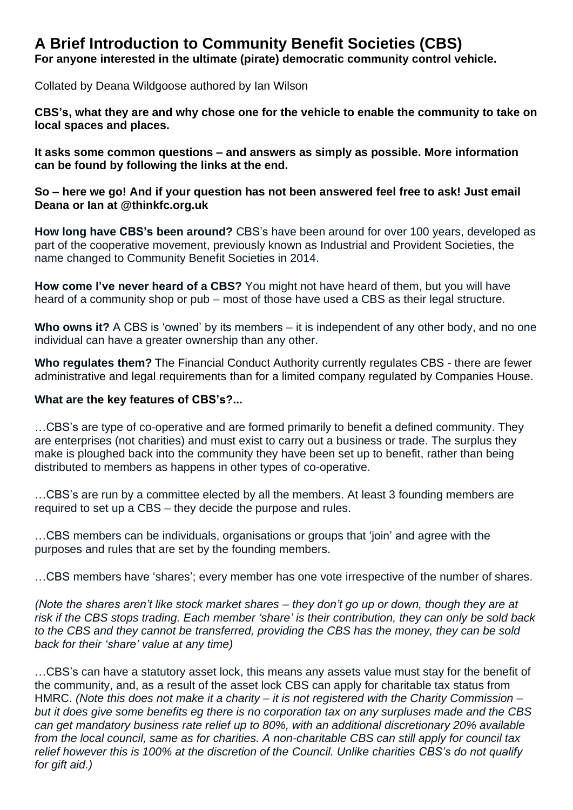# **A Brief Introduction to Community Benefit Societies (CBS)**

**For anyone interested in the ultimate (pirate) democratic community control vehicle.**

Collated by Deana Wildgoose authored by Ian Wilson

**CBS's, what they are and why chose one for the vehicle to enable the community to take on local spaces and places.** 

**It asks some common questions – and answers as simply as possible. More information can be found by following the links at the end.** 

**So – here we go! And if your question has not been answered feel free to ask! Just email Deana or Ian at @thinkfc.org.uk**

**How long have CBS's been around?** CBS's have been around for over 100 years, developed as part of the cooperative movement, previously known as Industrial and Provident Societies, the name changed to Community Benefit Societies in 2014.

**How come I've never heard of a CBS?** You might not have heard of them, but you will have heard of a community shop or pub – most of those have used a CBS as their legal structure.

**Who owns it?** A CBS is 'owned' by its members – it is independent of any other body, and no one individual can have a greater ownership than any other.

**Who regulates them?** The Financial Conduct Authority currently regulates CBS - there are fewer administrative and legal requirements than for a limited company regulated by Companies House.

#### **What are the key features of CBS's?...**

…CBS's are type of co-operative and are formed primarily to benefit a defined community. They are enterprises (not charities) and must exist to carry out a business or trade. The surplus they make is ploughed back into the community they have been set up to benefit, rather than being distributed to members as happens in other types of co-operative.

…CBS's are run by a committee elected by all the members. At least 3 founding members are required to set up a CBS – they decide the purpose and rules.

…CBS members can be individuals, organisations or groups that 'join' and agree with the purposes and rules that are set by the founding members.

…CBS members have 'shares'; every member has one vote irrespective of the number of shares.

*(Note the shares aren't like stock market shares – they don't go up or down, though they are at risk if the CBS stops trading. Each member 'share' is their contribution, they can only be sold back to the CBS and they cannot be transferred, providing the CBS has the money, they can be sold back for their 'share' value at any time)* 

…CBS's can have a statutory asset lock, this means any assets value must stay for the benefit of the community, and, as a result of the asset lock CBS can apply for charitable tax status from HMRC. *(Note this does not make it a charity – it is not registered with the Charity Commission – but it does give some benefits eg there is no corporation tax on any surpluses made and the CBS can get mandatory business rate relief up to 80%, with an additional discretionary 20% available from the local council, same as for charities. A non-charitable CBS can still apply for council tax relief however this is 100% at the discretion of the Council. Unlike charities CBS's do not qualify for gift aid.)*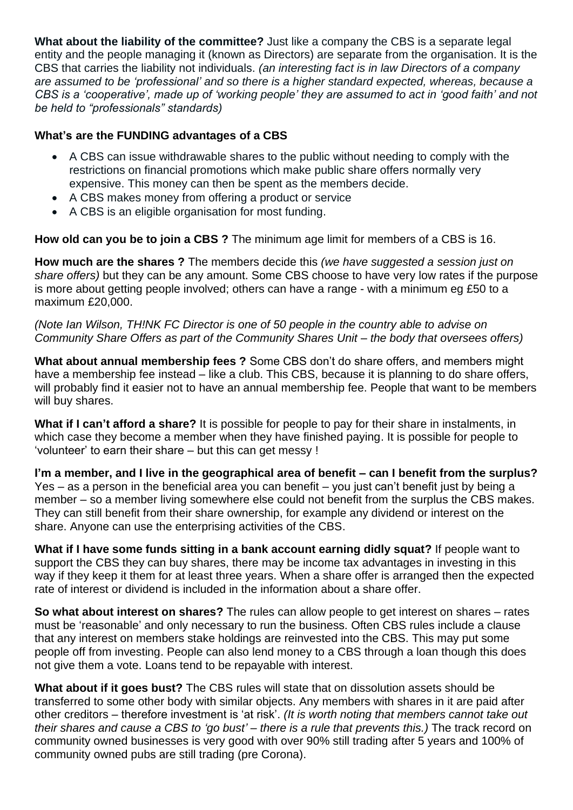**What about the liability of the committee?** Just like a company the CBS is a separate legal entity and the people managing it (known as Directors) are separate from the organisation. It is the CBS that carries the liability not individuals. *(an interesting fact is in law Directors of a company are assumed to be 'professional' and so there is a higher standard expected, whereas, because a CBS is a 'cooperative', made up of 'working people' they are assumed to act in 'good faith' and not be held to "professionals" standards)* 

## **What's are the FUNDING advantages of a CBS**

- A CBS can issue withdrawable shares to the public without needing to comply with the restrictions on financial promotions which make public share offers normally very expensive. This money can then be spent as the members decide.
- A CBS makes money from offering a product or service
- A CBS is an eligible organisation for most funding.

**How old can you be to join a CBS ?** The minimum age limit for members of a CBS is 16.

**How much are the shares ?** The members decide this *(we have suggested a session just on share offers)* but they can be any amount. Some CBS choose to have very low rates if the purpose is more about getting people involved; others can have a range - with a minimum eg £50 to a maximum £20,000.

*(Note Ian Wilson, TH!NK FC Director is one of 50 people in the country able to advise on Community Share Offers as part of the Community Shares Unit – the body that oversees offers)*

**What about annual membership fees ?** Some CBS don't do share offers, and members might have a membership fee instead – like a club. This CBS, because it is planning to do share offers, will probably find it easier not to have an annual membership fee. People that want to be members will buy shares.

**What if I can't afford a share?** It is possible for people to pay for their share in instalments, in which case they become a member when they have finished paying. It is possible for people to 'volunteer' to earn their share – but this can get messy !

**I'm a member, and I live in the geographical area of benefit – can I benefit from the surplus?**  Yes – as a person in the beneficial area you can benefit – you just can't benefit just by being a member – so a member living somewhere else could not benefit from the surplus the CBS makes. They can still benefit from their share ownership, for example any dividend or interest on the share. Anyone can use the enterprising activities of the CBS.

**What if I have some funds sitting in a bank account earning didly squat?** If people want to support the CBS they can buy shares, there may be income tax advantages in investing in this way if they keep it them for at least three years. When a share offer is arranged then the expected rate of interest or dividend is included in the information about a share offer.

**So what about interest on shares?** The rules can allow people to get interest on shares – rates must be 'reasonable' and only necessary to run the business. Often CBS rules include a clause that any interest on members stake holdings are reinvested into the CBS. This may put some people off from investing. People can also lend money to a CBS through a loan though this does not give them a vote. Loans tend to be repayable with interest.

**What about if it goes bust?** The CBS rules will state that on dissolution assets should be transferred to some other body with similar objects. Any members with shares in it are paid after other creditors – therefore investment is 'at risk'. *(It is worth noting that members cannot take out their shares and cause a CBS to 'go bust' – there is a rule that prevents this.)* The track record on community owned businesses is very good with over 90% still trading after 5 years and 100% of community owned pubs are still trading (pre Corona).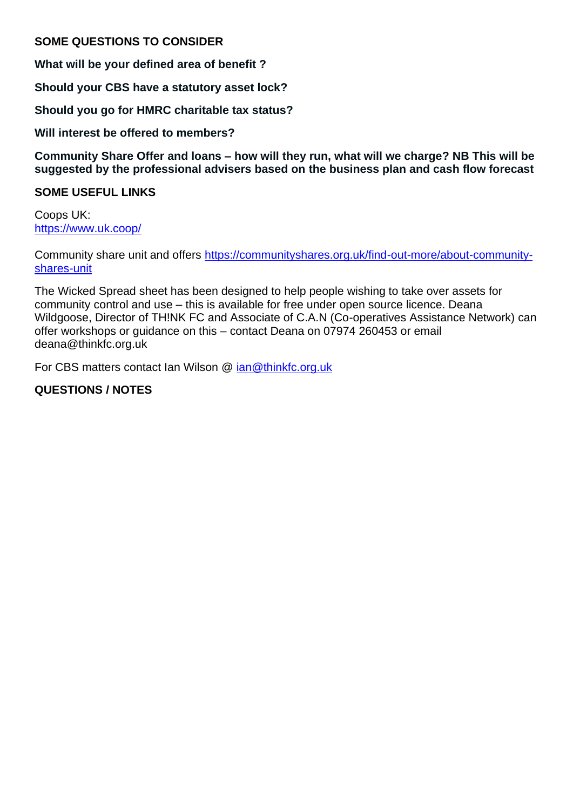### **SOME QUESTIONS TO CONSIDER**

**What will be your defined area of benefit ?**

**Should your CBS have a statutory asset lock?**

**Should you go for HMRC charitable tax status?**

**Will interest be offered to members?**

**Community Share Offer and loans – how will they run, what will we charge? NB This will be suggested by the professional advisers based on the business plan and cash flow forecast**

#### **SOME USEFUL LINKS**

Coops UK: <https://www.uk.coop/>

Community share unit and offers [https://communityshares.org.uk/find-out-more/about-community](https://communityshares.org.uk/find-out-more/about-community-shares-unit)[shares-unit](https://communityshares.org.uk/find-out-more/about-community-shares-unit)

The Wicked Spread sheet has been designed to help people wishing to take over assets for community control and use – this is available for free under open source licence. Deana Wildgoose, Director of TH!NK FC and Associate of C.A.N (Co-operatives Assistance Network) can offer workshops or guidance on this – contact Deana on 07974 260453 or email deana@thinkfc.org.uk

For CBS matters contact Ian Wilson @ [ian@thinkfc.org.uk](mailto:ian@thinkfc.org.uk)

### **QUESTIONS / NOTES**